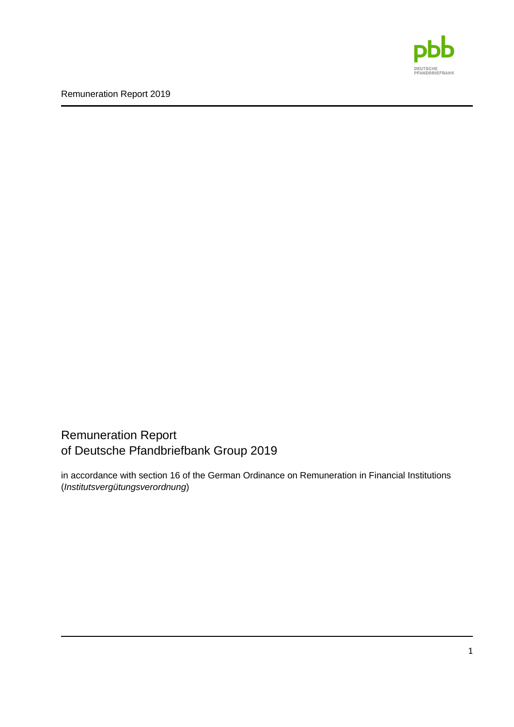

Remuneration Report of Deutsche Pfandbriefbank Group 2019

in accordance with section 16 of the German Ordinance on Remuneration in Financial Institutions (*Institutsvergütungsverordnung*)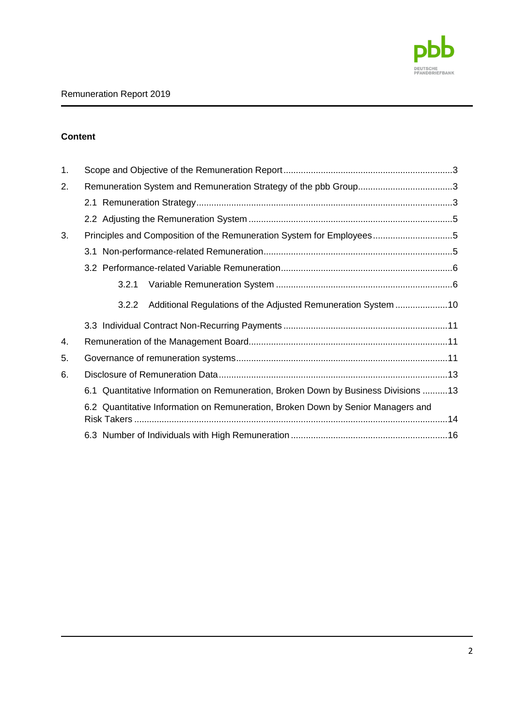

## **Content**

| 1. |                                                                                    |  |
|----|------------------------------------------------------------------------------------|--|
| 2. |                                                                                    |  |
|    |                                                                                    |  |
|    |                                                                                    |  |
| 3. | Principles and Composition of the Remuneration System for Employees5               |  |
|    |                                                                                    |  |
|    |                                                                                    |  |
|    | 3.2.1                                                                              |  |
|    | 3.2.2                                                                              |  |
|    |                                                                                    |  |
| 4. |                                                                                    |  |
| 5. |                                                                                    |  |
| 6. |                                                                                    |  |
|    | 6.1 Quantitative Information on Remuneration, Broken Down by Business Divisions 13 |  |
|    | 6.2 Quantitative Information on Remuneration, Broken Down by Senior Managers and   |  |
|    |                                                                                    |  |
|    |                                                                                    |  |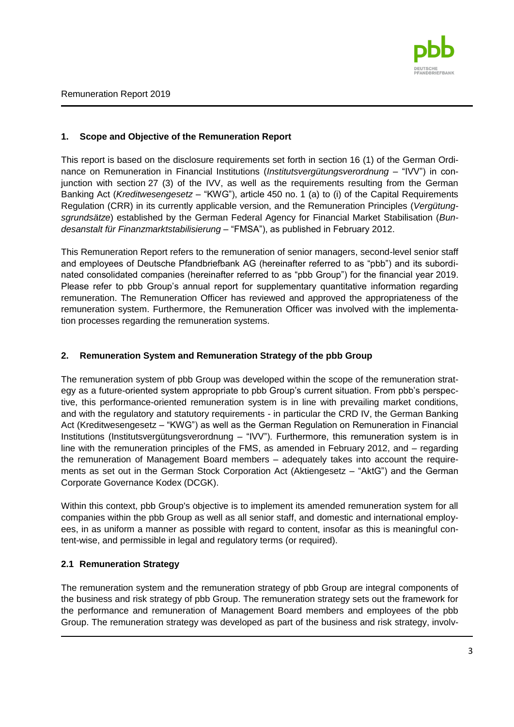

## <span id="page-2-0"></span>**1. Scope and Objective of the Remuneration Report**

This report is based on the disclosure requirements set forth in section 16 (1) of the German Ordinance on Remuneration in Financial Institutions (*Institutsvergütungsverordnung* – "IVV") in conjunction with section 27 (3) of the IVV, as well as the requirements resulting from the German Banking Act (*Kreditwesengesetz* – "KWG"), article 450 no. 1 (a) to (i) of the Capital Requirements Regulation (CRR) in its currently applicable version, and the Remuneration Principles (*Vergütungsgrundsätze*) established by the German Federal Agency for Financial Market Stabilisation (*Bundesanstalt für Finanzmarktstabilisierung* – "FMSA"), as published in February 2012.

This Remuneration Report refers to the remuneration of senior managers, second-level senior staff and employees of Deutsche Pfandbriefbank AG (hereinafter referred to as "pbb") and its subordinated consolidated companies (hereinafter referred to as "pbb Group") for the financial year 2019. Please refer to pbb Group's annual report for supplementary quantitative information regarding remuneration. The Remuneration Officer has reviewed and approved the appropriateness of the remuneration system. Furthermore, the Remuneration Officer was involved with the implementation processes regarding the remuneration systems.

## <span id="page-2-1"></span>**2. Remuneration System and Remuneration Strategy of the pbb Group**

The remuneration system of pbb Group was developed within the scope of the remuneration strategy as a future-oriented system appropriate to pbb Group's current situation. From pbb's perspective, this performance-oriented remuneration system is in line with prevailing market conditions, and with the regulatory and statutory requirements - in particular the CRD IV, the German Banking Act (Kreditwesengesetz – "KWG") as well as the German Regulation on Remuneration in Financial Institutions (Institutsvergütungsverordnung – "IVV"). Furthermore, this remuneration system is in line with the remuneration principles of the FMS, as amended in February 2012, and – regarding the remuneration of Management Board members – adequately takes into account the requirements as set out in the German Stock Corporation Act (Aktiengesetz – "AktG") and the German Corporate Governance Kodex (DCGK).

Within this context, pbb Group's objective is to implement its amended remuneration system for all companies within the pbb Group as well as all senior staff, and domestic and international employees, in as uniform a manner as possible with regard to content, insofar as this is meaningful content-wise, and permissible in legal and regulatory terms (or required).

## <span id="page-2-2"></span>**2.1 Remuneration Strategy**

The remuneration system and the remuneration strategy of pbb Group are integral components of the business and risk strategy of pbb Group. The remuneration strategy sets out the framework for the performance and remuneration of Management Board members and employees of the pbb Group. The remuneration strategy was developed as part of the business and risk strategy, involv-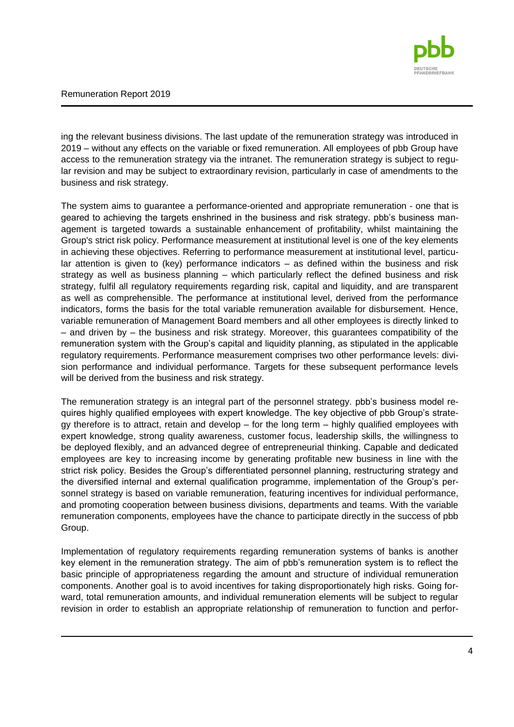

ing the relevant business divisions. The last update of the remuneration strategy was introduced in 2019 – without any effects on the variable or fixed remuneration. All employees of pbb Group have access to the remuneration strategy via the intranet. The remuneration strategy is subject to regular revision and may be subject to extraordinary revision, particularly in case of amendments to the business and risk strategy.

The system aims to guarantee a performance-oriented and appropriate remuneration - one that is geared to achieving the targets enshrined in the business and risk strategy. pbb's business management is targeted towards a sustainable enhancement of profitability, whilst maintaining the Group's strict risk policy. Performance measurement at institutional level is one of the key elements in achieving these objectives. Referring to performance measurement at institutional level, particular attention is given to (key) performance indicators – as defined within the business and risk strategy as well as business planning – which particularly reflect the defined business and risk strategy, fulfil all regulatory requirements regarding risk, capital and liquidity, and are transparent as well as comprehensible. The performance at institutional level, derived from the performance indicators, forms the basis for the total variable remuneration available for disbursement. Hence, variable remuneration of Management Board members and all other employees is directly linked to – and driven by – the business and risk strategy. Moreover, this guarantees compatibility of the remuneration system with the Group's capital and liquidity planning, as stipulated in the applicable regulatory requirements. Performance measurement comprises two other performance levels: division performance and individual performance. Targets for these subsequent performance levels will be derived from the business and risk strategy.

The remuneration strategy is an integral part of the personnel strategy. pbb's business model requires highly qualified employees with expert knowledge. The key objective of pbb Group's strategy therefore is to attract, retain and develop – for the long term – highly qualified employees with expert knowledge, strong quality awareness, customer focus, leadership skills, the willingness to be deployed flexibly, and an advanced degree of entrepreneurial thinking. Capable and dedicated employees are key to increasing income by generating profitable new business in line with the strict risk policy. Besides the Group's differentiated personnel planning, restructuring strategy and the diversified internal and external qualification programme, implementation of the Group's personnel strategy is based on variable remuneration, featuring incentives for individual performance, and promoting cooperation between business divisions, departments and teams. With the variable remuneration components, employees have the chance to participate directly in the success of pbb Group.

Implementation of regulatory requirements regarding remuneration systems of banks is another key element in the remuneration strategy. The aim of pbb's remuneration system is to reflect the basic principle of appropriateness regarding the amount and structure of individual remuneration components. Another goal is to avoid incentives for taking disproportionately high risks. Going forward, total remuneration amounts, and individual remuneration elements will be subject to regular revision in order to establish an appropriate relationship of remuneration to function and perfor-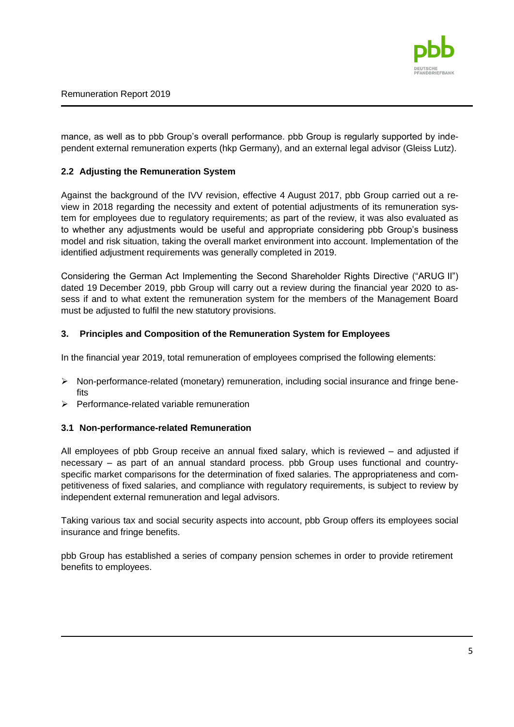

mance, as well as to pbb Group's overall performance. pbb Group is regularly supported by independent external remuneration experts (hkp Germany), and an external legal advisor (Gleiss Lutz).

### <span id="page-4-0"></span>**2.2 Adjusting the Remuneration System**

Against the background of the IVV revision, effective 4 August 2017, pbb Group carried out a review in 2018 regarding the necessity and extent of potential adjustments of its remuneration system for employees due to regulatory requirements; as part of the review, it was also evaluated as to whether any adjustments would be useful and appropriate considering pbb Group's business model and risk situation, taking the overall market environment into account. Implementation of the identified adjustment requirements was generally completed in 2019.

Considering the German Act Implementing the Second Shareholder Rights Directive ("ARUG II") dated 19 December 2019, pbb Group will carry out a review during the financial year 2020 to assess if and to what extent the remuneration system for the members of the Management Board must be adjusted to fulfil the new statutory provisions.

### <span id="page-4-1"></span>**3. Principles and Composition of the Remuneration System for Employees**

In the financial year 2019, total remuneration of employees comprised the following elements:

- $\triangleright$  Non-performance-related (monetary) remuneration, including social insurance and fringe benefits
- $\triangleright$  Performance-related variable remuneration

#### <span id="page-4-2"></span>**3.1 Non-performance-related Remuneration**

All employees of pbb Group receive an annual fixed salary, which is reviewed – and adjusted if necessary – as part of an annual standard process. pbb Group uses functional and countryspecific market comparisons for the determination of fixed salaries. The appropriateness and competitiveness of fixed salaries, and compliance with regulatory requirements, is subject to review by independent external remuneration and legal advisors.

Taking various tax and social security aspects into account, pbb Group offers its employees social insurance and fringe benefits.

pbb Group has established a series of company pension schemes in order to provide retirement benefits to employees.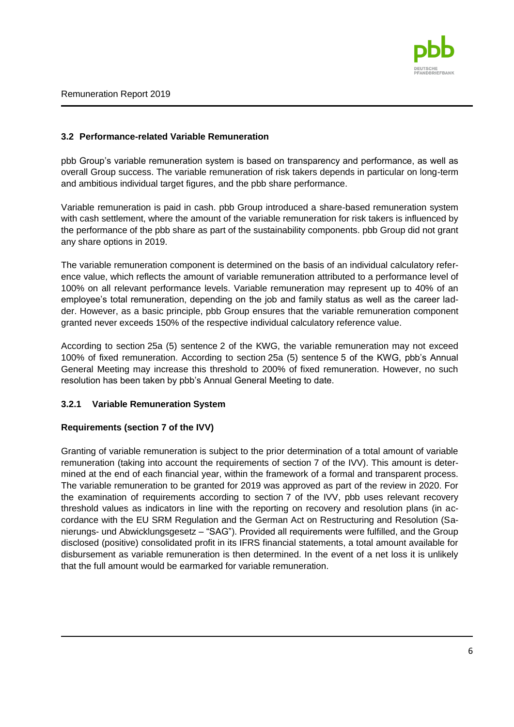

### <span id="page-5-0"></span>**3.2 Performance-related Variable Remuneration**

pbb Group's variable remuneration system is based on transparency and performance, as well as overall Group success. The variable remuneration of risk takers depends in particular on long-term and ambitious individual target figures, and the pbb share performance.

Variable remuneration is paid in cash. pbb Group introduced a share-based remuneration system with cash settlement, where the amount of the variable remuneration for risk takers is influenced by the performance of the pbb share as part of the sustainability components. pbb Group did not grant any share options in 2019.

The variable remuneration component is determined on the basis of an individual calculatory reference value, which reflects the amount of variable remuneration attributed to a performance level of 100% on all relevant performance levels. Variable remuneration may represent up to 40% of an employee's total remuneration, depending on the job and family status as well as the career ladder. However, as a basic principle, pbb Group ensures that the variable remuneration component granted never exceeds 150% of the respective individual calculatory reference value.

According to section 25a (5) sentence 2 of the KWG, the variable remuneration may not exceed 100% of fixed remuneration. According to section 25a (5) sentence 5 of the KWG, pbb's Annual General Meeting may increase this threshold to 200% of fixed remuneration. However, no such resolution has been taken by pbb's Annual General Meeting to date.

### <span id="page-5-1"></span>**3.2.1 Variable Remuneration System**

### **Requirements (section 7 of the IVV)**

Granting of variable remuneration is subject to the prior determination of a total amount of variable remuneration (taking into account the requirements of section 7 of the IVV). This amount is determined at the end of each financial year, within the framework of a formal and transparent process. The variable remuneration to be granted for 2019 was approved as part of the review in 2020. For the examination of requirements according to section 7 of the IVV, pbb uses relevant recovery threshold values as indicators in line with the reporting on recovery and resolution plans (in accordance with the EU SRM Regulation and the German Act on Restructuring and Resolution (Sanierungs- und Abwicklungsgesetz – "SAG"). Provided all requirements were fulfilled, and the Group disclosed (positive) consolidated profit in its IFRS financial statements, a total amount available for disbursement as variable remuneration is then determined. In the event of a net loss it is unlikely that the full amount would be earmarked for variable remuneration.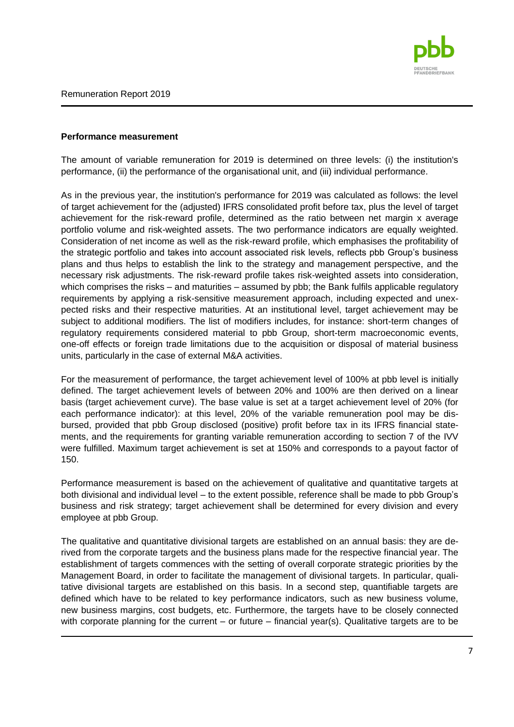

### **Performance measurement**

The amount of variable remuneration for 2019 is determined on three levels: (i) the institution's performance, (ii) the performance of the organisational unit, and (iii) individual performance.

As in the previous year, the institution's performance for 2019 was calculated as follows: the level of target achievement for the (adjusted) IFRS consolidated profit before tax, plus the level of target achievement for the risk-reward profile, determined as the ratio between net margin x average portfolio volume and risk-weighted assets. The two performance indicators are equally weighted. Consideration of net income as well as the risk-reward profile, which emphasises the profitability of the strategic portfolio and takes into account associated risk levels, reflects pbb Group's business plans and thus helps to establish the link to the strategy and management perspective, and the necessary risk adjustments. The risk-reward profile takes risk-weighted assets into consideration, which comprises the risks – and maturities – assumed by pbb; the Bank fulfils applicable regulatory requirements by applying a risk-sensitive measurement approach, including expected and unexpected risks and their respective maturities. At an institutional level, target achievement may be subject to additional modifiers. The list of modifiers includes, for instance: short-term changes of regulatory requirements considered material to pbb Group, short-term macroeconomic events, one-off effects or foreign trade limitations due to the acquisition or disposal of material business units, particularly in the case of external M&A activities.

For the measurement of performance, the target achievement level of 100% at pbb level is initially defined. The target achievement levels of between 20% and 100% are then derived on a linear basis (target achievement curve). The base value is set at a target achievement level of 20% (for each performance indicator): at this level, 20% of the variable remuneration pool may be disbursed, provided that pbb Group disclosed (positive) profit before tax in its IFRS financial statements, and the requirements for granting variable remuneration according to section 7 of the IVV were fulfilled. Maximum target achievement is set at 150% and corresponds to a payout factor of 150.

Performance measurement is based on the achievement of qualitative and quantitative targets at both divisional and individual level – to the extent possible, reference shall be made to pbb Group's business and risk strategy; target achievement shall be determined for every division and every employee at pbb Group.

The qualitative and quantitative divisional targets are established on an annual basis: they are derived from the corporate targets and the business plans made for the respective financial year. The establishment of targets commences with the setting of overall corporate strategic priorities by the Management Board, in order to facilitate the management of divisional targets. In particular, qualitative divisional targets are established on this basis. In a second step, quantifiable targets are defined which have to be related to key performance indicators, such as new business volume, new business margins, cost budgets, etc. Furthermore, the targets have to be closely connected with corporate planning for the current – or future – financial year(s). Qualitative targets are to be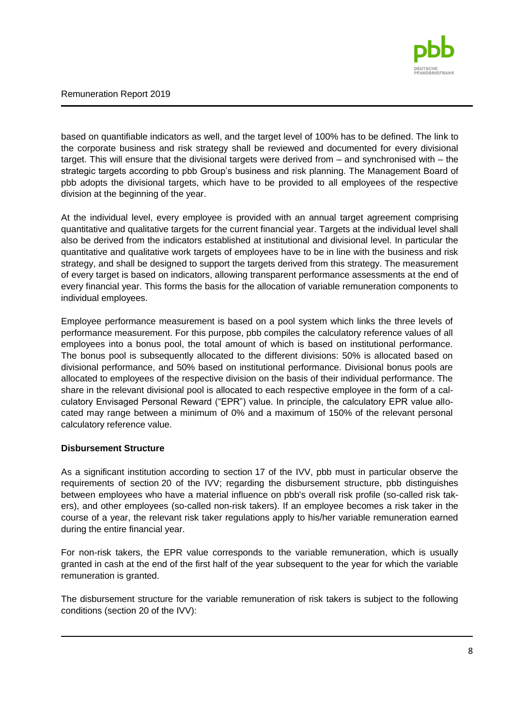

based on quantifiable indicators as well, and the target level of 100% has to be defined. The link to the corporate business and risk strategy shall be reviewed and documented for every divisional target. This will ensure that the divisional targets were derived from – and synchronised with – the strategic targets according to pbb Group's business and risk planning. The Management Board of pbb adopts the divisional targets, which have to be provided to all employees of the respective division at the beginning of the year.

At the individual level, every employee is provided with an annual target agreement comprising quantitative and qualitative targets for the current financial year. Targets at the individual level shall also be derived from the indicators established at institutional and divisional level. In particular the quantitative and qualitative work targets of employees have to be in line with the business and risk strategy, and shall be designed to support the targets derived from this strategy. The measurement of every target is based on indicators, allowing transparent performance assessments at the end of every financial year. This forms the basis for the allocation of variable remuneration components to individual employees.

Employee performance measurement is based on a pool system which links the three levels of performance measurement. For this purpose, pbb compiles the calculatory reference values of all employees into a bonus pool, the total amount of which is based on institutional performance. The bonus pool is subsequently allocated to the different divisions: 50% is allocated based on divisional performance, and 50% based on institutional performance. Divisional bonus pools are allocated to employees of the respective division on the basis of their individual performance. The share in the relevant divisional pool is allocated to each respective employee in the form of a calculatory Envisaged Personal Reward ("EPR") value. In principle, the calculatory EPR value allocated may range between a minimum of 0% and a maximum of 150% of the relevant personal calculatory reference value.

#### **Disbursement Structure**

As a significant institution according to section 17 of the IVV, pbb must in particular observe the requirements of section 20 of the IVV; regarding the disbursement structure, pbb distinguishes between employees who have a material influence on pbb's overall risk profile (so-called risk takers), and other employees (so-called non-risk takers). If an employee becomes a risk taker in the course of a year, the relevant risk taker regulations apply to his/her variable remuneration earned during the entire financial year.

For non-risk takers, the EPR value corresponds to the variable remuneration, which is usually granted in cash at the end of the first half of the year subsequent to the year for which the variable remuneration is granted.

The disbursement structure for the variable remuneration of risk takers is subject to the following conditions (section 20 of the IVV):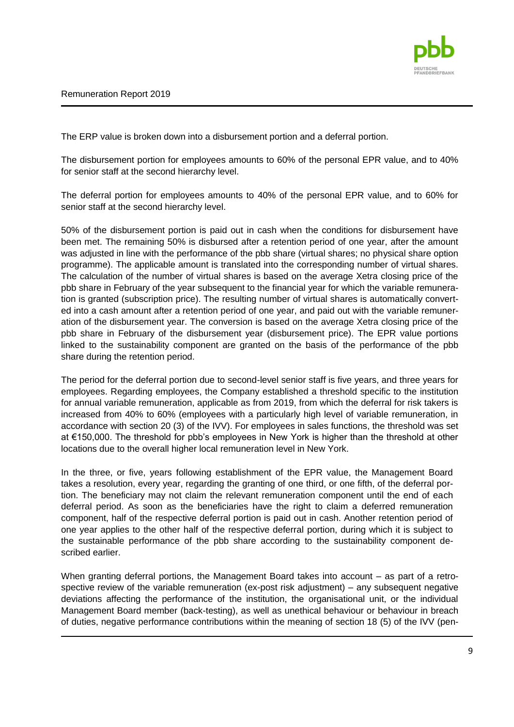

The ERP value is broken down into a disbursement portion and a deferral portion.

The disbursement portion for employees amounts to 60% of the personal EPR value, and to 40% for senior staff at the second hierarchy level.

The deferral portion for employees amounts to 40% of the personal EPR value, and to 60% for senior staff at the second hierarchy level.

50% of the disbursement portion is paid out in cash when the conditions for disbursement have been met. The remaining 50% is disbursed after a retention period of one year, after the amount was adjusted in line with the performance of the pbb share (virtual shares; no physical share option programme). The applicable amount is translated into the corresponding number of virtual shares. The calculation of the number of virtual shares is based on the average Xetra closing price of the pbb share in February of the year subsequent to the financial year for which the variable remuneration is granted (subscription price). The resulting number of virtual shares is automatically converted into a cash amount after a retention period of one year, and paid out with the variable remuneration of the disbursement year. The conversion is based on the average Xetra closing price of the pbb share in February of the disbursement year (disbursement price). The EPR value portions linked to the sustainability component are granted on the basis of the performance of the pbb share during the retention period.

The period for the deferral portion due to second-level senior staff is five years, and three years for employees. Regarding employees, the Company established a threshold specific to the institution for annual variable remuneration, applicable as from 2019, from which the deferral for risk takers is increased from 40% to 60% (employees with a particularly high level of variable remuneration, in accordance with section 20 (3) of the IVV). For employees in sales functions, the threshold was set at €150,000. The threshold for pbb's employees in New York is higher than the threshold at other locations due to the overall higher local remuneration level in New York.

In the three, or five, years following establishment of the EPR value, the Management Board takes a resolution, every year, regarding the granting of one third, or one fifth, of the deferral portion. The beneficiary may not claim the relevant remuneration component until the end of each deferral period. As soon as the beneficiaries have the right to claim a deferred remuneration component, half of the respective deferral portion is paid out in cash. Another retention period of one year applies to the other half of the respective deferral portion, during which it is subject to the sustainable performance of the pbb share according to the sustainability component described earlier.

When granting deferral portions, the Management Board takes into account – as part of a retrospective review of the variable remuneration (ex-post risk adjustment) – any subsequent negative deviations affecting the performance of the institution, the organisational unit, or the individual Management Board member (back-testing), as well as unethical behaviour or behaviour in breach of duties, negative performance contributions within the meaning of section 18 (5) of the IVV (pen-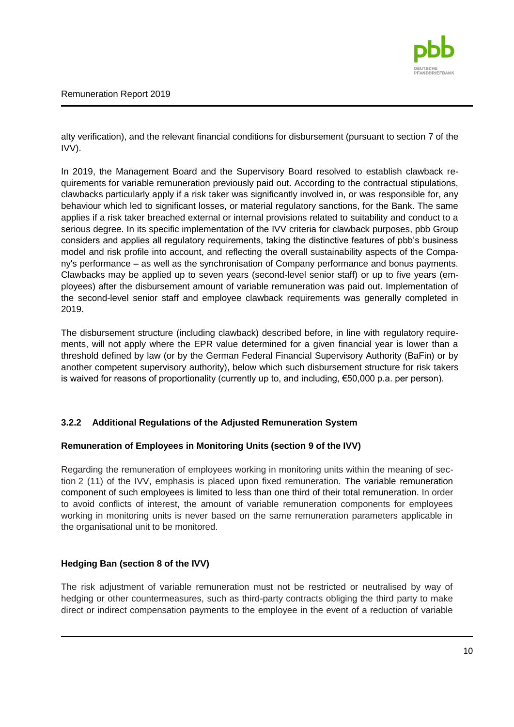

alty verification), and the relevant financial conditions for disbursement (pursuant to section 7 of the IVV).

In 2019, the Management Board and the Supervisory Board resolved to establish clawback requirements for variable remuneration previously paid out. According to the contractual stipulations, clawbacks particularly apply if a risk taker was significantly involved in, or was responsible for, any behaviour which led to significant losses, or material regulatory sanctions, for the Bank. The same applies if a risk taker breached external or internal provisions related to suitability and conduct to a serious degree. In its specific implementation of the IVV criteria for clawback purposes, pbb Group considers and applies all regulatory requirements, taking the distinctive features of pbb's business model and risk profile into account, and reflecting the overall sustainability aspects of the Company's performance – as well as the synchronisation of Company performance and bonus payments. Clawbacks may be applied up to seven years (second-level senior staff) or up to five years (employees) after the disbursement amount of variable remuneration was paid out. Implementation of the second-level senior staff and employee clawback requirements was generally completed in 2019.

The disbursement structure (including clawback) described before, in line with regulatory requirements, will not apply where the EPR value determined for a given financial year is lower than a threshold defined by law (or by the German Federal Financial Supervisory Authority (BaFin) or by another competent supervisory authority), below which such disbursement structure for risk takers is waived for reasons of proportionality (currently up to, and including, €50,000 p.a. per person).

## <span id="page-9-0"></span>**3.2.2 Additional Regulations of the Adjusted Remuneration System**

### **Remuneration of Employees in Monitoring Units (section 9 of the IVV)**

Regarding the remuneration of employees working in monitoring units within the meaning of section 2 (11) of the IVV, emphasis is placed upon fixed remuneration. The variable remuneration component of such employees is limited to less than one third of their total remuneration. In order to avoid conflicts of interest, the amount of variable remuneration components for employees working in monitoring units is never based on the same remuneration parameters applicable in the organisational unit to be monitored.

## **Hedging Ban (section 8 of the IVV)**

The risk adjustment of variable remuneration must not be restricted or neutralised by way of hedging or other countermeasures, such as third-party contracts obliging the third party to make direct or indirect compensation payments to the employee in the event of a reduction of variable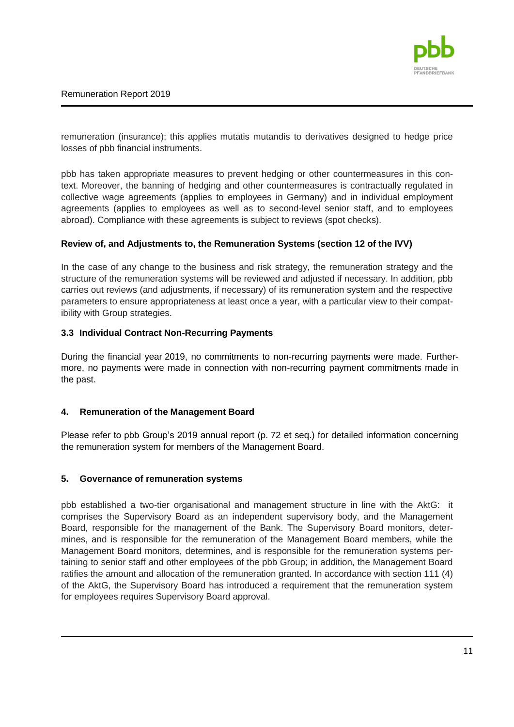

remuneration (insurance); this applies mutatis mutandis to derivatives designed to hedge price losses of pbb financial instruments.

pbb has taken appropriate measures to prevent hedging or other countermeasures in this context. Moreover, the banning of hedging and other countermeasures is contractually regulated in collective wage agreements (applies to employees in Germany) and in individual employment agreements (applies to employees as well as to second-level senior staff, and to employees abroad). Compliance with these agreements is subject to reviews (spot checks).

### **Review of, and Adjustments to, the Remuneration Systems (section 12 of the IVV)**

In the case of any change to the business and risk strategy, the remuneration strategy and the structure of the remuneration systems will be reviewed and adjusted if necessary. In addition, pbb carries out reviews (and adjustments, if necessary) of its remuneration system and the respective parameters to ensure appropriateness at least once a year, with a particular view to their compatibility with Group strategies.

### <span id="page-10-0"></span>**3.3 Individual Contract Non-Recurring Payments**

During the financial year 2019, no commitments to non-recurring payments were made. Furthermore, no payments were made in connection with non-recurring payment commitments made in the past.

### <span id="page-10-1"></span>**4. Remuneration of the Management Board**

Please refer to pbb Group's 2019 annual report (p. 72 et seq.) for detailed information concerning the remuneration system for members of the Management Board.

#### <span id="page-10-2"></span>**5. Governance of remuneration systems**

pbb established a two-tier organisational and management structure in line with the AktG: it comprises the Supervisory Board as an independent supervisory body, and the Management Board, responsible for the management of the Bank. The Supervisory Board monitors, determines, and is responsible for the remuneration of the Management Board members, while the Management Board monitors, determines, and is responsible for the remuneration systems pertaining to senior staff and other employees of the pbb Group; in addition, the Management Board ratifies the amount and allocation of the remuneration granted. In accordance with section 111 (4) of the AktG, the Supervisory Board has introduced a requirement that the remuneration system for employees requires Supervisory Board approval.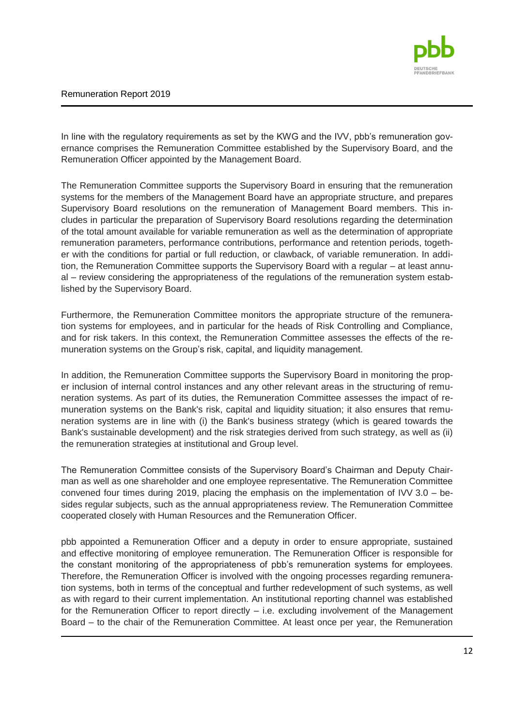

In line with the regulatory requirements as set by the KWG and the IVV, pbb's remuneration governance comprises the Remuneration Committee established by the Supervisory Board, and the Remuneration Officer appointed by the Management Board.

The Remuneration Committee supports the Supervisory Board in ensuring that the remuneration systems for the members of the Management Board have an appropriate structure, and prepares Supervisory Board resolutions on the remuneration of Management Board members. This includes in particular the preparation of Supervisory Board resolutions regarding the determination of the total amount available for variable remuneration as well as the determination of appropriate remuneration parameters, performance contributions, performance and retention periods, together with the conditions for partial or full reduction, or clawback, of variable remuneration. In addition, the Remuneration Committee supports the Supervisory Board with a regular – at least annual – review considering the appropriateness of the regulations of the remuneration system established by the Supervisory Board.

Furthermore, the Remuneration Committee monitors the appropriate structure of the remuneration systems for employees, and in particular for the heads of Risk Controlling and Compliance, and for risk takers. In this context, the Remuneration Committee assesses the effects of the remuneration systems on the Group's risk, capital, and liquidity management.

In addition, the Remuneration Committee supports the Supervisory Board in monitoring the proper inclusion of internal control instances and any other relevant areas in the structuring of remuneration systems. As part of its duties, the Remuneration Committee assesses the impact of remuneration systems on the Bank's risk, capital and liquidity situation; it also ensures that remuneration systems are in line with (i) the Bank's business strategy (which is geared towards the Bank's sustainable development) and the risk strategies derived from such strategy, as well as (ii) the remuneration strategies at institutional and Group level.

The Remuneration Committee consists of the Supervisory Board's Chairman and Deputy Chairman as well as one shareholder and one employee representative. The Remuneration Committee convened four times during 2019, placing the emphasis on the implementation of IVV  $3.0 -$  besides regular subjects, such as the annual appropriateness review. The Remuneration Committee cooperated closely with Human Resources and the Remuneration Officer.

pbb appointed a Remuneration Officer and a deputy in order to ensure appropriate, sustained and effective monitoring of employee remuneration. The Remuneration Officer is responsible for the constant monitoring of the appropriateness of pbb's remuneration systems for employees. Therefore, the Remuneration Officer is involved with the ongoing processes regarding remuneration systems, both in terms of the conceptual and further redevelopment of such systems, as well as with regard to their current implementation. An institutional reporting channel was established for the Remuneration Officer to report directly  $-$  i.e. excluding involvement of the Management Board – to the chair of the Remuneration Committee. At least once per year, the Remuneration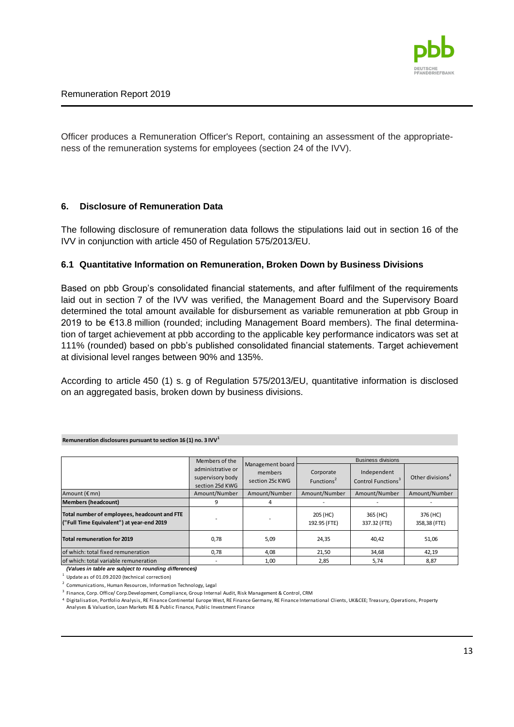

Officer produces a Remuneration Officer's Report, containing an assessment of the appropriateness of the remuneration systems for employees (section 24 of the IVV).

### <span id="page-12-0"></span>**6. Disclosure of Remuneration Data**

The following disclosure of remuneration data follows the stipulations laid out in section 16 of the IVV in conjunction with article 450 of Regulation 575/2013/EU.

### <span id="page-12-1"></span>**6.1 Quantitative Information on Remuneration, Broken Down by Business Divisions**

Based on pbb Group's consolidated financial statements, and after fulfilment of the requirements laid out in section 7 of the IVV was verified, the Management Board and the Supervisory Board determined the total amount available for disbursement as variable remuneration at pbb Group in 2019 to be €13.8 million (rounded; including Management Board members). The final determination of target achievement at pbb according to the applicable key performance indicators was set at 111% (rounded) based on pbb's published consolidated financial statements. Target achievement at divisional level ranges between 90% and 135%.

According to article 450 (1) s. g of Regulation 575/2013/EU, quantitative information is disclosed on an aggregated basis, broken down by business divisions.

|                                                                                           | Members of the                                           |                                                | <b>Business divisions</b>           |                                               |                              |  |
|-------------------------------------------------------------------------------------------|----------------------------------------------------------|------------------------------------------------|-------------------------------------|-----------------------------------------------|------------------------------|--|
|                                                                                           | administrative or<br>supervisory body<br>section 25d KWG | Management board<br>members<br>section 25c KWG | Corporate<br>Functions <sup>2</sup> | Independent<br>Control Functions <sup>3</sup> | Other divisions <sup>4</sup> |  |
| Amount $(\epsilon$ mn)                                                                    | Amount/Number                                            | Amount/Number                                  | Amount/Number                       | Amount/Number                                 | Amount/Number                |  |
| <b>Members (headcount)</b>                                                                | 9                                                        |                                                |                                     |                                               |                              |  |
| Total number of employees, headcount and FTE<br>("Full Time Equivalent") at year-end 2019 |                                                          |                                                | 205 (HC)<br>192.95 (FTE)            | 365 (HC)<br>337.32 (FTE)                      | 376 (HC)<br>358,38 (FTE)     |  |
| Total remuneration for 2019                                                               | 0,78                                                     | 5,09                                           | 24,35                               | 40,42                                         | 51,06                        |  |
| of which: total fixed remuneration                                                        | 0,78                                                     | 4,08                                           | 21,50                               | 34,68                                         | 42,19                        |  |
| of which: total variable remuneration                                                     |                                                          | 1,00                                           | 2,85                                | 5,74                                          | 8,87                         |  |

**Remuneration disclosures pursuant to section 16 (1) no. 3 IVV<sup>1</sup>**

*(Values in table are subject to rounding differences)*

 $1$  Update as of 01.09.2020 (technical correction)

 $2$  Communications, Human Resources, Information Technology, Legal

<sup>3</sup> Finance, Corp. Office/ Corp.Development, Compliance, Group Internal Audit, Risk Management & Control, CRM

<sup>4</sup> Digitalisation, Portfolio Analysis, RE Finance Continental Europe West, RE Finance Germany, RE Finance International Clients, UK&CEE; Treasury, Operations, Property

Analyses & Valuation, Loan Markets RE & Public Finance, Public Investment Finance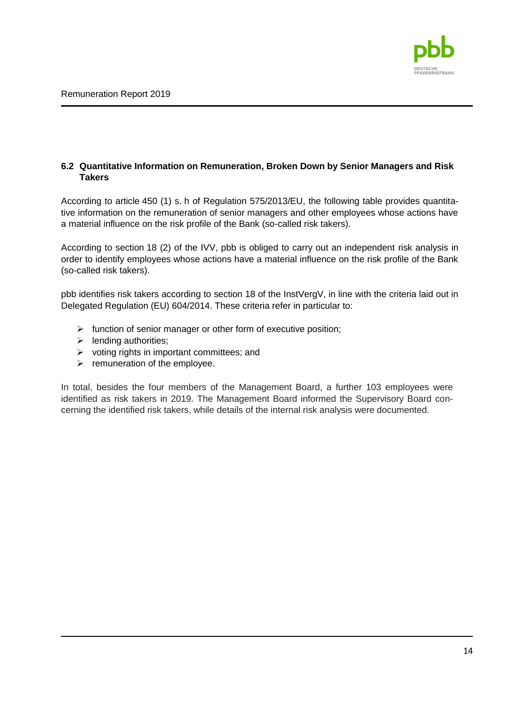

## <span id="page-13-0"></span>**6.2 Quantitative Information on Remuneration, Broken Down by Senior Managers and Risk Takers**

According to article 450 (1) s. h of Regulation 575/2013/EU, the following table provides quantitative information on the remuneration of senior managers and other employees whose actions have a material influence on the risk profile of the Bank (so-called risk takers).

According to section 18 (2) of the IVV, pbb is obliged to carry out an independent risk analysis in order to identify employees whose actions have a material influence on the risk profile of the Bank (so-called risk takers).

pbb identifies risk takers according to section 18 of the InstVergV, in line with the criteria laid out in Delegated Regulation (EU) 604/2014. These criteria refer in particular to:

- $\triangleright$  function of senior manager or other form of executive position:
- $\blacktriangleright$  lending authorities;
- $\triangleright$  voting rights in important committees; and
- $\triangleright$  remuneration of the employee.

In total, besides the four members of the Management Board, a further 103 employees were identified as risk takers in 2019. The Management Board informed the Supervisory Board concerning the identified risk takers, while details of the internal risk analysis were documented.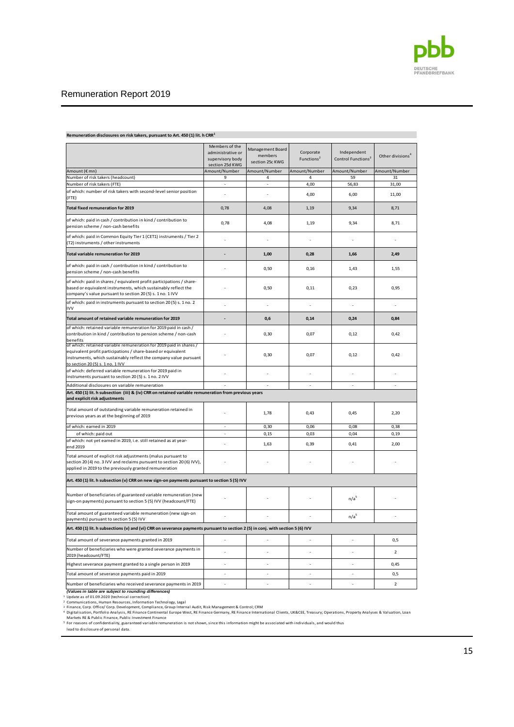

|                                                                                                                                                                                                                                             | Members of the                      | Management Board | Corporate              | Independent                    |                              |
|---------------------------------------------------------------------------------------------------------------------------------------------------------------------------------------------------------------------------------------------|-------------------------------------|------------------|------------------------|--------------------------------|------------------------------|
|                                                                                                                                                                                                                                             | administrative or                   | members          |                        |                                | Other divisions <sup>4</sup> |
|                                                                                                                                                                                                                                             | supervisory body<br>section 25d KWG | section 25c KWG  | Functions <sup>2</sup> | Control Functions <sup>3</sup> |                              |
| Amount (€ mn)                                                                                                                                                                                                                               | Amount/Number                       | Amount/Number    | Amount/Number          | Amount/Number                  | Amount/Number                |
| Number of risk takers (headcount)                                                                                                                                                                                                           | 9                                   | 4                | 4                      | 59                             | 31                           |
| Number of risk takers (FTE)                                                                                                                                                                                                                 |                                     |                  | 4,00                   | 56,83                          | 31,00                        |
| of which: number of risk takers with second-level senior position                                                                                                                                                                           |                                     |                  |                        |                                |                              |
| (FTE)                                                                                                                                                                                                                                       |                                     |                  | 4,00                   | 6,00                           | 11,00                        |
| <b>Total fixed remuneration for 2019</b>                                                                                                                                                                                                    | 0,78                                | 4,08             | 1,19                   | 9,34                           | 8,71                         |
| of which: paid in cash / contribution in kind / contribution to<br>pension scheme / non-cash benefits                                                                                                                                       | 0,78                                | 4,08             | 1,19                   | 9,34                           | 8,71                         |
| of which: paid in Common Equity Tier 1 (CET1) instruments / Tier 2<br>(T2) instruments / other instruments                                                                                                                                  |                                     |                  |                        |                                |                              |
| Total variable remuneration for 2019                                                                                                                                                                                                        |                                     | 1.00             | 0.28                   | 1,66                           | 2.49                         |
| of which: paid in cash / contribution in kind / contribution to<br>pension scheme / non-cash benefits                                                                                                                                       |                                     | 0,50             | 0.16                   | 1.43                           | 1,55                         |
| of which: paid in shares / equivalent profit participations / share-<br>based or equivalent instruments, which sustainably reflect the<br>company's value pursuant to section 20 (5) s. 1 no. 1 IVV                                         |                                     | 0,50             | 0,11                   | 0,23                           | 0,95                         |
| of which: paid in instruments pursuant to section 20 (5) s. 1 no. 2<br><b>IVV</b>                                                                                                                                                           |                                     | ÷,               | ÷,                     | $\overline{a}$                 | ÷,                           |
| Total amount of retained variable remuneration for 2019                                                                                                                                                                                     |                                     | 0,6              | 0,14                   | 0,24                           | 0,84                         |
| of which: retained variable remuneration for 2019 paid in cash /<br>contribution in kind / contribution to pension scheme / non-cash<br>benefits                                                                                            |                                     | 0,30             | 0.07                   | 0.12                           | 0.42                         |
| of which: retained variable remuneration for 2019 paid in shares /<br>equivalent profit participations / share-based or equivalent<br>instruments, which sustainably reflect the company value pursuant<br>to section 20 (5) s. 1 no. 1 IVV |                                     | 0.30             | 0.07                   | 0,12                           | 0.42                         |
| of which: deferred variable remuneration for 2019 paid in<br>instruments pursuant to section 20 (5) s. 1 no. 2 IVV                                                                                                                          |                                     |                  |                        |                                |                              |
| Additional disclosures on variable remuneration                                                                                                                                                                                             |                                     |                  | $\overline{a}$         | $\overline{a}$                 |                              |
| Art. 450 (1) lit. h subsection (iii) & (iv) CRR on retained variable remuneration from previous years<br>and explicit risk adjustments                                                                                                      |                                     |                  |                        |                                |                              |
| Total amount of outstanding variable remuneration retained in<br>previous years as at the beginning of 2019                                                                                                                                 |                                     | 1,78             | 0,43                   | 0,45                           | 2,20                         |
| of which: earned in 2019                                                                                                                                                                                                                    | $\overline{\phantom{a}}$            | 0,30             | 0,06                   | 0,08                           | 0,38                         |
| of which: paid out                                                                                                                                                                                                                          |                                     | 0, 15            | 0,03                   | 0,04                           | 0, 19                        |
| of which: not yet earned in 2019, i.e. still retained as at year-<br>end 2019                                                                                                                                                               | $\overline{a}$                      | 1,63             | 0.39                   | 0.41                           | 2,00                         |
| Total amount of explicit risk adjustments (malus pursuant to<br>section 20 (4) no. 3 IVV and reclaims pursuant to section 20 (6) IVV),<br>applied in 2019 to the previously granted remuneration                                            |                                     |                  |                        |                                |                              |
| Art. 450 (1) lit. h subsection (v) CRR on new sign-on payments pursuant to section 5 (5) IVV                                                                                                                                                |                                     |                  |                        |                                |                              |
| Number of beneficiaries of guaranteed variable remuneration (new<br>sign-on payments) pursuant to section 5 (5) IVV (headcount/FTE)                                                                                                         |                                     |                  |                        | n/a <sup>5</sup>               |                              |
| Total amount of guaranteed variable remuneration (new sign-on<br>payments) pursuant to section 5 (5) IVV                                                                                                                                    |                                     |                  |                        | n/a <sup>5</sup>               |                              |
| Art. 450 (1) lit. h subsections (v) and (vi) CRR on severance payments pursuant to section 2 (5) in conj. with section 5 (6) IVV                                                                                                            |                                     |                  |                        |                                |                              |
| Total amount of severance payments granted in 2019                                                                                                                                                                                          |                                     |                  | ÷                      |                                | 0, 5                         |
| Number of beneficiaries who were granted severance payments in<br>2019 (headcount/FTE)                                                                                                                                                      |                                     |                  |                        |                                | $\mathbf 2$                  |
| Highest severance payment granted to a single person in 2019                                                                                                                                                                                | ÷,                                  | ÷,               | ÷,                     | ÷,                             | 0,45                         |
| Total amount of severance payments paid in 2019                                                                                                                                                                                             | $\overline{a}$                      | $\overline{a}$   | $\overline{a}$         | $\overline{a}$                 | 0, 5                         |
| Number of beneficiaries who received severance payments in 2019                                                                                                                                                                             | $\overline{a}$                      | $\overline{a}$   | ÷,                     |                                | $\overline{2}$               |
|                                                                                                                                                                                                                                             |                                     |                  |                        |                                |                              |

**Remuneration disclosures on risk takers, pursuant to Art. 450 (1) lit. h CRR<sup>1</sup>**

Update as of 01.09.2020 (technical correction)

**(Values in table are subject to rounding differences)**<br><sup>1</sup> Update as of 01.09.2020 (technical correction)<br><sup>2</sup> Communications, Human Resources, Information Technology, Legal<br><sup>3</sup> Finance, Corp. Office/ Corp. Development, Co

Digitalisation, Portfolio Analysis, RE Finance Continental Europe West, RE Finance Germany, RE Finance International Clients, UK&CEE, Treasury; Operations, Property Analyses & Valuation, Loan<br>Markets RE & Public Finance, P

<sup>5</sup> For reasons of confidentiality, guaranteed variable remuneration is not shown, since this information might be associated with individuals, and would thus lead to disclosure of personal data.